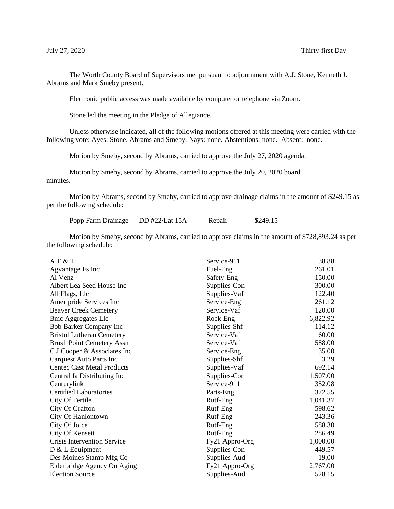The Worth County Board of Supervisors met pursuant to adjournment with A.J. Stone, Kenneth J. Abrams and Mark Smeby present.

Electronic public access was made available by computer or telephone via Zoom.

Stone led the meeting in the Pledge of Allegiance.

Unless otherwise indicated, all of the following motions offered at this meeting were carried with the following vote: Ayes: Stone, Abrams and Smeby. Nays: none. Abstentions: none. Absent: none.

Motion by Smeby, second by Abrams, carried to approve the July 27, 2020 agenda.

Motion by Smeby, second by Abrams, carried to approve the July 20, 2020 board minutes.

Motion by Abrams, second by Smeby, carried to approve drainage claims in the amount of \$249.15 as per the following schedule:

Popp Farm Drainage DD #22/Lat 15A Repair \$249.15

Motion by Smeby, second by Abrams, carried to approve claims in the amount of \$728,893.24 as per the following schedule:

| AT & T                             | Service-911    | 38.88    |
|------------------------------------|----------------|----------|
| Agvantage Fs Inc                   | Fuel-Eng       | 261.01   |
| Al Venz                            | Safety-Eng     | 150.00   |
| Albert Lea Seed House Inc          | Supplies-Con   | 300.00   |
| All Flags, Llc                     | Supplies-Vaf   | 122.40   |
| Ameripride Services Inc            | Service-Eng    | 261.12   |
| <b>Beaver Creek Cemetery</b>       | Service-Vaf    | 120.00   |
| <b>Bmc Aggregates Llc</b>          | Rock-Eng       | 6,822.92 |
| Bob Barker Company Inc             | Supplies-Shf   | 114.12   |
| <b>Bristol Lutheran Cemetery</b>   | Service-Vaf    | 60.00    |
| <b>Brush Point Cemetery Assn</b>   | Service-Vaf    | 588.00   |
| C J Cooper & Associates Inc        | Service-Eng    | 35.00    |
| Carquest Auto Parts Inc            | Supplies-Shf   | 3.29     |
| <b>Centec Cast Metal Products</b>  | Supplies-Vaf   | 692.14   |
| Central Ia Distributing Inc        | Supplies-Con   | 1,507.00 |
| Centurylink                        | Service-911    | 352.08   |
| <b>Certified Laboratories</b>      | Parts-Eng      | 372.55   |
| City Of Fertile                    | Rutf-Eng       | 1,041.37 |
| City Of Grafton                    | Rutf-Eng       | 598.62   |
| City Of Hanlontown                 | Rutf-Eng       | 243.36   |
| City Of Joice                      | Rutf-Eng       | 588.30   |
| <b>City Of Kensett</b>             | Rutf-Eng       | 286.49   |
| <b>Crisis Intervention Service</b> | Fy21 Appro-Org | 1,000.00 |
| $D & L$ Equipment                  | Supplies-Con   | 449.57   |
| Des Moines Stamp Mfg Co            | Supplies-Aud   | 19.00    |
| Elderbridge Agency On Aging        | Fy21 Appro-Org | 2,767.00 |
| <b>Election Source</b>             | Supplies-Aud   | 528.15   |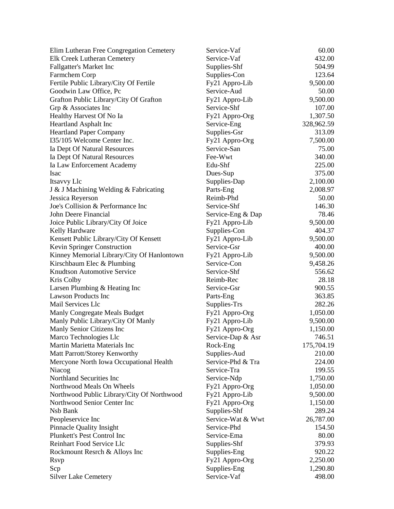| Elim Lutheran Free Congregation Cemetery   | Service-Vaf       | 60.00      |
|--------------------------------------------|-------------------|------------|
| Elk Creek Lutheran Cemetery                | Service-Vaf       | 432.00     |
| Fallgatter's Market Inc                    | Supplies-Shf      | 504.99     |
| Farmchem Corp                              | Supplies-Con      | 123.64     |
| Fertile Public Library/City Of Fertile     | Fy21 Appro-Lib    | 9,500.00   |
| Goodwin Law Office, Pc                     | Service-Aud       | 50.00      |
| Grafton Public Library/City Of Grafton     | Fy21 Appro-Lib    | 9,500.00   |
| Grp & Associates Inc                       | Service-Shf       | 107.00     |
| Healthy Harvest Of No Ia                   | Fy21 Appro-Org    | 1,307.50   |
| Heartland Asphalt Inc                      | Service-Eng       | 328,962.59 |
| <b>Heartland Paper Company</b>             | Supplies-Gsr      | 313.09     |
| I35/105 Welcome Center Inc.                | Fy21 Appro-Org    | 7,500.00   |
| Ia Dept Of Natural Resources               | Service-San       | 75.00      |
| Ia Dept Of Natural Resources               | Fee-Wwt           | 340.00     |
| Ia Law Enforcement Academy                 | Edu-Shf           | 225.00     |
| Isac                                       | Dues-Sup          | 375.00     |
| Itsavvy Llc                                | Supplies-Dap      | 2,100.00   |
| J & J Machining Welding & Fabricating      | Parts-Eng         | 2,008.97   |
| Jessica Reyerson                           | Reimb-Phd         | 50.00      |
| Joe's Collision & Performance Inc          | Service-Shf       | 146.30     |
| John Deere Financial                       | Service-Eng & Dap | 78.46      |
| Joice Public Library/City Of Joice         | Fy21 Appro-Lib    | 9,500.00   |
| Kelly Hardware                             | Supplies-Con      | 404.37     |
| Kensett Public Library/City Of Kensett     | Fy21 Appro-Lib    | 9,500.00   |
| Kevin Springer Construction                | Service-Gsr       | 400.00     |
| Kinney Memorial Library/City Of Hanlontown | Fy21 Appro-Lib    | 9,500.00   |
| Kirschbaum Elec & Plumbing                 | Service-Con       | 9,458.26   |
| <b>Knudtson Automotive Service</b>         | Service-Shf       | 556.62     |
| Kris Colby                                 | Reimb-Rec         | 28.18      |
| Larsen Plumbing & Heating Inc              | Service-Gsr       | 900.55     |
| <b>Lawson Products Inc</b>                 | Parts-Eng         | 363.85     |
| Mail Services Llc                          | Supplies-Trs      | 282.26     |
| Manly Congregate Meals Budget              | Fy21 Appro-Org    | 1,050.00   |
| Manly Public Library/City Of Manly         | Fy21 Appro-Lib    | 9,500.00   |
| Manly Senior Citizens Inc                  | Fy21 Appro-Org    | 1,150.00   |
| Marco Technologies Llc                     | Service-Dap & Asr | 746.51     |
| Martin Marietta Materials Inc              | Rock-Eng          | 175,704.19 |
| Matt Parrott/Storey Kenworthy              | Supplies-Aud      | 210.00     |
| Mercyone North Iowa Occupational Health    | Service-Phd & Tra | 224.00     |
| Niacog                                     | Service-Tra       | 199.55     |
| Northland Securities Inc                   | Service-Ndp       | 1,750.00   |
| Northwood Meals On Wheels                  | Fy21 Appro-Org    | 1,050.00   |
| Northwood Public Library/City Of Northwood | Fy21 Appro-Lib    | 9,500.00   |
| Northwood Senior Center Inc                | Fy21 Appro-Org    | 1,150.00   |
| Nsb Bank                                   | Supplies-Shf      | 289.24     |
| Peopleservice Inc                          | Service-Wat & Wwt | 26,787.00  |
| <b>Pinnacle Quality Insight</b>            | Service-Phd       | 154.50     |
| Plunkett's Pest Control Inc                | Service-Ema       | 80.00      |
| Reinhart Food Service Llc                  | Supplies-Shf      | 379.93     |
| Rockmount Resrch & Alloys Inc              | Supplies-Eng      | 920.22     |
| <b>R</b> svp                               | Fy21 Appro-Org    | 2,250.00   |
| Scp                                        | Supplies-Eng      | 1,290.80   |
| <b>Silver Lake Cemetery</b>                | Service-Vaf       | 498.00     |
|                                            |                   |            |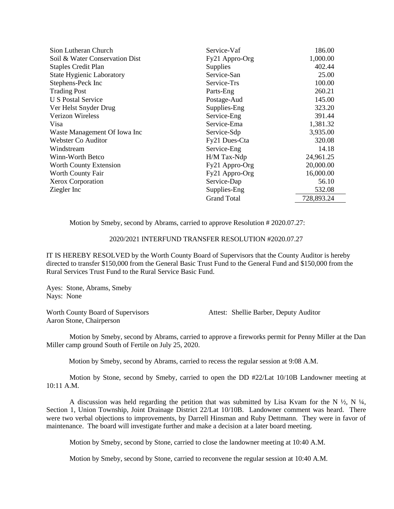| Sion Lutheran Church             | Service-Vaf        | 186.00     |
|----------------------------------|--------------------|------------|
| Soil & Water Conservation Dist   | Fy21 Appro-Org     | 1,000.00   |
| <b>Staples Credit Plan</b>       | Supplies           | 402.44     |
| <b>State Hygienic Laboratory</b> | Service-San        | 25.00      |
| Stephens-Peck Inc                | Service-Trs        | 100.00     |
| <b>Trading Post</b>              | Parts-Eng          | 260.21     |
| U S Postal Service               | Postage-Aud        | 145.00     |
| Ver Helst Snyder Drug            | Supplies-Eng       | 323.20     |
| <b>Verizon Wireless</b>          | Service-Eng        | 391.44     |
| Visa                             | Service-Ema        | 1,381.32   |
| Waste Management Of Iowa Inc     | Service-Sdp        | 3,935.00   |
| Webster Co Auditor               | Fy21 Dues-Cta      | 320.08     |
| Windstream                       | Service-Eng        | 14.18      |
| Winn-Worth Betco                 | H/M Tax-Ndp        | 24,961.25  |
| <b>Worth County Extension</b>    | Fy21 Appro-Org     | 20,000.00  |
| Worth County Fair                | Fy21 Appro-Org     | 16,000.00  |
| Xerox Corporation                | Service-Dap        | 56.10      |
| Ziegler Inc                      | Supplies-Eng       | 532.08     |
|                                  | <b>Grand Total</b> | 728,893.24 |

Motion by Smeby, second by Abrams, carried to approve Resolution # 2020.07.27:

2020/2021 INTERFUND TRANSFER RESOLUTION #2020.07.27

IT IS HEREBY RESOLVED by the Worth County Board of Supervisors that the County Auditor is hereby directed to transfer \$150,000 from the General Basic Trust Fund to the General Fund and \$150,000 from the Rural Services Trust Fund to the Rural Service Basic Fund.

Ayes: Stone, Abrams, Smeby Nays: None

Aaron Stone, Chairperson

Worth County Board of Supervisors **Attest:** Shellie Barber, Deputy Auditor

Motion by Smeby, second by Abrams, carried to approve a fireworks permit for Penny Miller at the Dan Miller camp ground South of Fertile on July 25, 2020.

Motion by Smeby, second by Abrams, carried to recess the regular session at 9:08 A.M.

Motion by Stone, second by Smeby, carried to open the DD #22/Lat 10/10B Landowner meeting at 10:11 A.M.

A discussion was held regarding the petition that was submitted by Lisa Kvam for the N  $\frac{1}{2}$ , N  $\frac{1}{4}$ , Section 1, Union Township, Joint Drainage District 22/Lat 10/10B. Landowner comment was heard. There were two verbal objections to improvements, by Darrell Hinsman and Ruby Dettmann. They were in favor of maintenance. The board will investigate further and make a decision at a later board meeting.

Motion by Smeby, second by Stone, carried to close the landowner meeting at 10:40 A.M.

Motion by Smeby, second by Stone, carried to reconvene the regular session at 10:40 A.M.